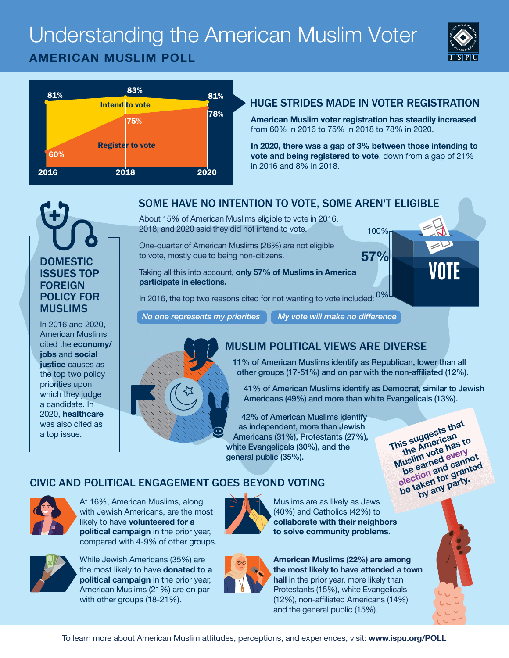# Understanding the American Muslim Voter **AMERICAN MUSLIM POLL**





#### HUGE STRIDES MADE IN VOTER REGISTRATION

**American Muslim voter registration has steadily increased** from 60% in 2016 to 75% in 2018 to 78% in 2020.

**In 2020, there was a gap of 3% between those intending to vote and being registered to vote**, down from a gap of 21% in 2016 and 8% in 2018.

100%

**57%**



In 2016 and 2020, American Muslims cited the **economy/ jobs** and **social justice** causes as the top two policy priorities upon which they judge a candidate. In 2020, **healthcare**  was also cited as a top issue.

## SOME HAVE NO INTENTION TO VOTE, SOME AREN'T ELIGIBLE

About 15% of American Muslims eligible to vote in 2016, 2018, and 2020 said they did not intend to vote.

One-quarter of American Muslims (26%) are not eligible to vote, mostly due to being non-citizens.

Taking all this into account, **only 57% of Muslims in America participate in elections.**

In 2016, the top two reasons cited for not wanting to vote included:  $0\%$ 

*No one represents my priorities My vote will make no difference*



## MUSLIM POLITICAL VIEWS ARE DIVERSE

11% of American Muslims identify as Republican, lower than all other groups (17-51%) and on par with the non-affiliated (12%).

41% of American Muslims identify as Democrat, similar to Jewish Americans (49%) and more than white Evangelicals (13%).

42% of American Muslims identify as independent, more than Jewish Americans (31%), Protestants (27%), white Evangelicals (30%), and the general public (35%).

**This suggests that**<br>This suggests that<br>the American to<br>Muslim vote has to<br>be earned every **Muslim vote has to**  the water worker and cannot<br>be earned cannot<br>election and canned<br>election for garty. **be earnend call the earned**<br>election and granted<br>be taken for granty.<br>be taken any party.

### CIVIC AND POLITICAL ENGAGEMENT GOES BEYOND VOTING



At 16%, American Muslims, along with Jewish Americans, are the most likely to have **volunteered for a political campaign** in the prior year, compared with 4-9% of other groups.



While Jewish Americans (35%) are the most likely to have **donated to a political campaign** in the prior year, American Muslims (21%) are on par with other groups (18-21%).



Muslims are as likely as Jews (40%) and Catholics (42%) to **collaborate with their neighbors to solve community problems.**



**American Muslims (22%) are among the most likely to have attended a town hall** in the prior year, more likely than Protestants (15%), white Evangelicals (12%), non-affiliated Americans (14%) and the general public (15%).